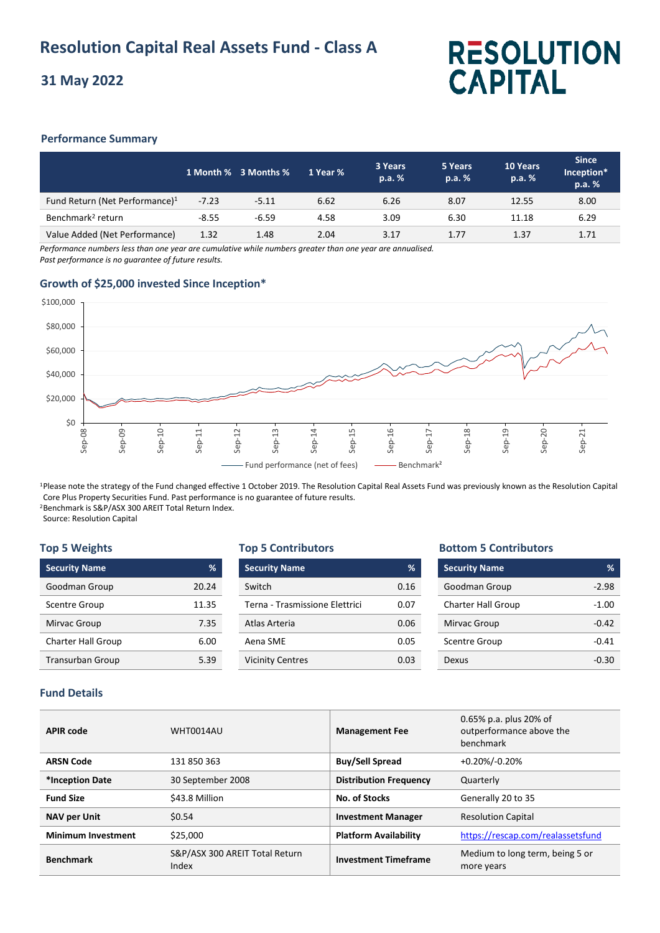# **31 May 2022**

# **RESOLUTION CAPITAL**

# **Performance Summary**

|                                            |         | 1 Month % 3 Months % | 1 Year % | 3 Years<br>p.a. % | 5 Years<br>p.a. % | 10 Years<br>p.a. % | <b>Since</b><br>Inception*<br>p.a. % |
|--------------------------------------------|---------|----------------------|----------|-------------------|-------------------|--------------------|--------------------------------------|
| Fund Return (Net Performance) <sup>1</sup> | $-7.23$ | $-5.11$              | 6.62     | 6.26              | 8.07              | 12.55              | 8.00                                 |
| Benchmark <sup>2</sup> return              | $-8.55$ | $-6.59$              | 4.58     | 3.09              | 6.30              | 11.18              | 6.29                                 |
| Value Added (Net Performance)              | 1.32    | 1.48                 | 2.04     | 3.17              | 1.77              | 1.37               | 1.71                                 |

*Performance numbers less than one year are cumulative while numbers greater than one year are annualised. Past performance is no guarantee of future results.*

# **Growth of \$25,000 invested Since Inception\***



<sup>1</sup>Please note the strategy of the Fund changed effective 1 October 2019. The Resolution Capital Real Assets Fund was previously known as the Resolution Capital Core Plus Property Securities Fund. Past performance is no guarantee of future results. <sup>2</sup>Benchmark is S&P/ASX 300 AREIT Total Return Index.

Source: Resolution Capital

#### **Top 5 Weights**

| <b>Security Name</b>      | %     | Sı |
|---------------------------|-------|----|
| Goodman Group             | 20.24 | S١ |
| <b>Scentre Group</b>      | 11.35 |    |
| Mirvac Group              | 7.35  | А  |
| <b>Charter Hall Group</b> | 6.00  |    |
| <b>Transurban Group</b>   | 5.39  |    |

#### **Top 5 Contributors**

| <b>Security Name</b>           | %     |
|--------------------------------|-------|
| Switch                         | 0.16  |
| Terna - Trasmissione Flettrici | 0.07  |
| Atlas Arteria                  | 0.06  |
| Aena SMF                       | 0.05  |
| <b>Vicinity Centres</b>        | 0 U.S |

### **Bottom 5 Contributors**

| <b>Security Name</b>      | %       |
|---------------------------|---------|
| Goodman Group             | $-2.98$ |
| <b>Charter Hall Group</b> | $-1.00$ |
| Mirvac Group              | $-0.42$ |
| <b>Scentre Group</b>      | $-0.41$ |
| Dexus                     | -0.30   |

# **Fund Details**

| <b>APIR code</b>          | WHT0014AU                               | <b>Management Fee</b>         | 0.65% p.a. plus 20% of<br>outperformance above the<br>benchmark |
|---------------------------|-----------------------------------------|-------------------------------|-----------------------------------------------------------------|
| <b>ARSN Code</b>          | 131 850 363                             | <b>Buy/Sell Spread</b>        | +0.20%/-0.20%                                                   |
| *Inception Date           | 30 September 2008                       | <b>Distribution Frequency</b> | Quarterly                                                       |
| <b>Fund Size</b>          | \$43.8 Million                          | No. of Stocks                 | Generally 20 to 35                                              |
| <b>NAV per Unit</b>       | \$0.54                                  | <b>Investment Manager</b>     | <b>Resolution Capital</b>                                       |
| <b>Minimum Investment</b> | \$25,000                                | <b>Platform Availability</b>  | https://rescap.com/realassetsfund                               |
| <b>Benchmark</b>          | S&P/ASX 300 AREIT Total Return<br>Index | <b>Investment Timeframe</b>   | Medium to long term, being 5 or<br>more years                   |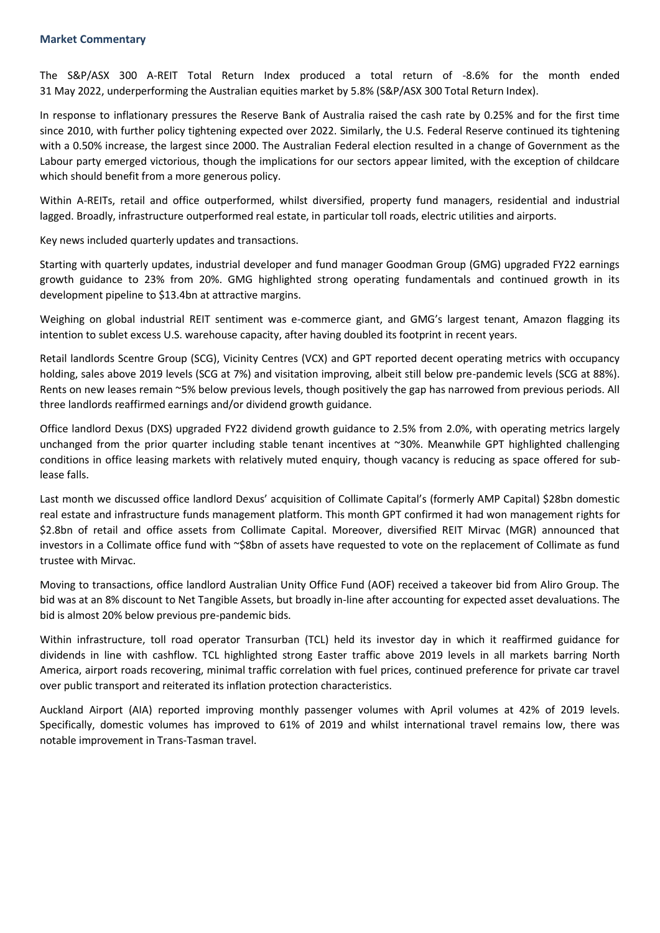#### **Market Commentary**

The S&P/ASX 300 A-REIT Total Return Index produced a total return of -8.6% for the month ended 31 May 2022, underperforming the Australian equities market by 5.8% (S&P/ASX 300 Total Return Index).

In response to inflationary pressures the Reserve Bank of Australia raised the cash rate by 0.25% and for the first time since 2010, with further policy tightening expected over 2022. Similarly, the U.S. Federal Reserve continued its tightening with a 0.50% increase, the largest since 2000. The Australian Federal election resulted in a change of Government as the Labour party emerged victorious, though the implications for our sectors appear limited, with the exception of childcare which should benefit from a more generous policy.

Within A-REITs, retail and office outperformed, whilst diversified, property fund managers, residential and industrial lagged. Broadly, infrastructure outperformed real estate, in particular toll roads, electric utilities and airports.

Key news included quarterly updates and transactions.

Starting with quarterly updates, industrial developer and fund manager Goodman Group (GMG) upgraded FY22 earnings growth guidance to 23% from 20%. GMG highlighted strong operating fundamentals and continued growth in its development pipeline to \$13.4bn at attractive margins.

Weighing on global industrial REIT sentiment was e-commerce giant, and GMG's largest tenant, Amazon flagging its intention to sublet excess U.S. warehouse capacity, after having doubled its footprint in recent years.

Retail landlords Scentre Group (SCG), Vicinity Centres (VCX) and GPT reported decent operating metrics with occupancy holding, sales above 2019 levels (SCG at 7%) and visitation improving, albeit still below pre-pandemic levels (SCG at 88%). Rents on new leases remain ~5% below previous levels, though positively the gap has narrowed from previous periods. All three landlords reaffirmed earnings and/or dividend growth guidance.

Office landlord Dexus (DXS) upgraded FY22 dividend growth guidance to 2.5% from 2.0%, with operating metrics largely unchanged from the prior quarter including stable tenant incentives at ~30%. Meanwhile GPT highlighted challenging conditions in office leasing markets with relatively muted enquiry, though vacancy is reducing as space offered for sublease falls.

Last month we discussed office landlord Dexus' acquisition of Collimate Capital's (formerly AMP Capital) \$28bn domestic real estate and infrastructure funds management platform. This month GPT confirmed it had won management rights for \$2.8bn of retail and office assets from Collimate Capital. Moreover, diversified REIT Mirvac (MGR) announced that investors in a Collimate office fund with ~\$8bn of assets have requested to vote on the replacement of Collimate as fund trustee with Mirvac.

Moving to transactions, office landlord Australian Unity Office Fund (AOF) received a takeover bid from Aliro Group. The bid was at an 8% discount to Net Tangible Assets, but broadly in-line after accounting for expected asset devaluations. The bid is almost 20% below previous pre-pandemic bids.

Within infrastructure, toll road operator Transurban (TCL) held its investor day in which it reaffirmed guidance for dividends in line with cashflow. TCL highlighted strong Easter traffic above 2019 levels in all markets barring North America, airport roads recovering, minimal traffic correlation with fuel prices, continued preference for private car travel over public transport and reiterated its inflation protection characteristics.

Auckland Airport (AIA) reported improving monthly passenger volumes with April volumes at 42% of 2019 levels. Specifically, domestic volumes has improved to 61% of 2019 and whilst international travel remains low, there was notable improvement in Trans-Tasman travel.